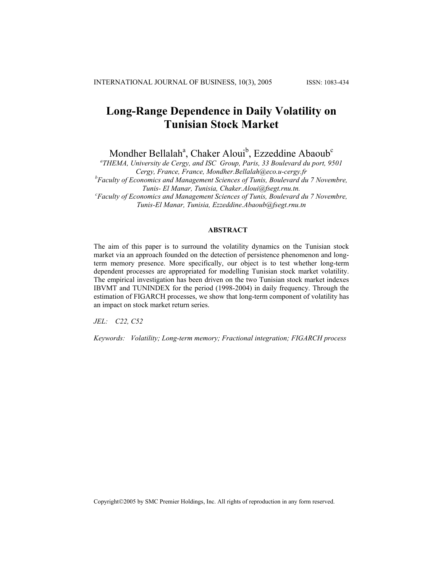# **Long-Range Dependence in Daily Volatility on Tunisian Stock Market**

Mondher Bellalah<sup>a</sup>, Chaker Aloui<sup>b</sup>, Ezzeddine Abaoub<sup>c</sup>

*a THEMA, University de Cergy, and ISC Group, Paris, 33 Boulevard du port, 9501 Cergy, France, France, Mondher.Bellalah@eco.u-cergy.fr b Faculty of Economics and Management Sciences of Tunis, Boulevard du 7 Novembre, Tunis- El Manar, Tunisia, Chaker.Aloui@fsegt.rnu.tn. c Faculty of Economics and Management Sciences of Tunis, Boulevard du 7 Novembre, Tunis-El Manar, Tunisia, Ezzeddine.Abaoub@fsegt.rnu.tn*

### **ABSTRACT**

The aim of this paper is to surround the volatility dynamics on the Tunisian stock market via an approach founded on the detection of persistence phenomenon and longterm memory presence. More specifically, our object is to test whether long-term dependent processes are appropriated for modelling Tunisian stock market volatility. The empirical investigation has been driven on the two Tunisian stock market indexes IBVMT and TUNINDEX for the period (1998-2004) in daily frequency. Through the estimation of FIGARCH processes, we show that long-term component of volatility has an impact on stock market return series.

*JEL: C22, C52* 

*Keywords: Volatility; Long-term memory; Fractional integration; FIGARCH process*

Copyright2005 by SMC Premier Holdings, Inc. All rights of reproduction in any form reserved.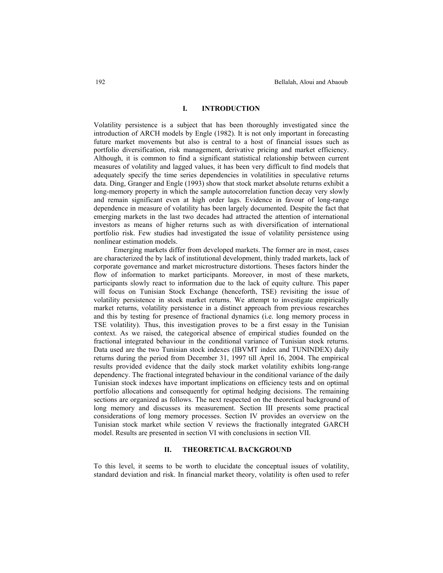## **I. INTRODUCTION**

Volatility persistence is a subject that has been thoroughly investigated since the introduction of ARCH models by Engle (1982). It is not only important in forecasting future market movements but also is central to a host of financial issues such as portfolio diversification, risk management, derivative pricing and market efficiency. Although, it is common to find a significant statistical relationship between current measures of volatility and lagged values, it has been very difficult to find models that adequately specify the time series dependencies in volatilities in speculative returns data. Ding, Granger and Engle (1993) show that stock market absolute returns exhibit a long-memory property in which the sample autocorrelation function decay very slowly and remain significant even at high order lags. Evidence in favour of long-range dependence in measure of volatility has been largely documented. Despite the fact that emerging markets in the last two decades had attracted the attention of international investors as means of higher returns such as with diversification of international portfolio risk. Few studies had investigated the issue of volatility persistence using nonlinear estimation models.

Emerging markets differ from developed markets. The former are in most, cases are characterized the by lack of institutional development, thinly traded markets, lack of corporate governance and market microstructure distortions. Theses factors hinder the flow of information to market participants. Moreover, in most of these markets, participants slowly react to information due to the lack of equity culture. This paper will focus on Tunisian Stock Exchange (henceforth, TSE) revisiting the issue of volatility persistence in stock market returns. We attempt to investigate empirically market returns, volatility persistence in a distinct approach from previous researches and this by testing for presence of fractional dynamics (i.e. long memory process in TSE volatility). Thus, this investigation proves to be a first essay in the Tunisian context. As we raised, the categorical absence of empirical studies founded on the fractional integrated behaviour in the conditional variance of Tunisian stock returns. Data used are the two Tunisian stock indexes (IBVMT index and TUNINDEX) daily returns during the period from December 31, 1997 till April 16, 2004. The empirical results provided evidence that the daily stock market volatility exhibits long-range dependency. The fractional integrated behaviour in the conditional variance of the daily Tunisian stock indexes have important implications on efficiency tests and on optimal portfolio allocations and consequently for optimal hedging decisions. The remaining sections are organized as follows. The next respected on the theoretical background of long memory and discusses its measurement. Section III presents some practical considerations of long memory processes. Section IV provides an overview on the Tunisian stock market while section V reviews the fractionally integrated GARCH model. Results are presented in section VI with conclusions in section VII.

# **II. THEORETICAL BACKGROUND**

To this level, it seems to be worth to elucidate the conceptual issues of volatility, standard deviation and risk. In financial market theory, volatility is often used to refer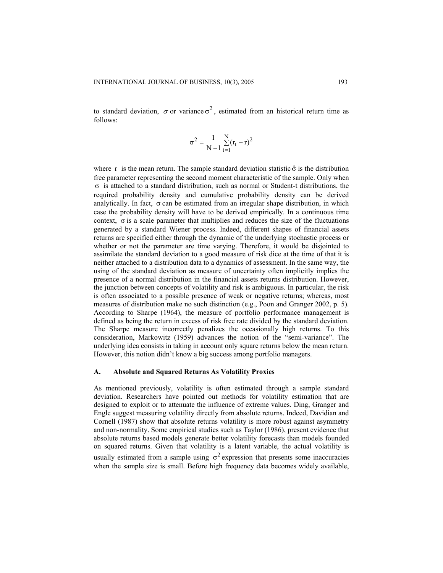to standard deviation,  $\sigma$  or variance  $\sigma^2$ , estimated from an historical return time as follows:

$$
\sigma^2 = \frac{1}{N-1} \sum_{t=1}^{N} (r_t - \bar{r})^2
$$

where r is the mean return. The sample standard deviation statistic  $\hat{\sigma}$  is the distribution free parameter representing the second moment characteristic of the sample. Only when  $\sigma$  is attached to a standard distribution, such as normal or Student-t distributions, the required probability density and cumulative probability density can be derived analytically. In fact,  $\sigma$  can be estimated from an irregular shape distribution, in which case the probability density will have to be derived empirically. In a continuous time context,  $\sigma$  is a scale parameter that multiplies and reduces the size of the fluctuations generated by a standard Wiener process. Indeed, different shapes of financial assets returns are specified either through the dynamic of the underlying stochastic process or whether or not the parameter are time varying. Therefore, it would be disjointed to assimilate the standard deviation to a good measure of risk dice at the time of that it is neither attached to a distribution data to a dynamics of assessment. In the same way, the using of the standard deviation as measure of uncertainty often implicitly implies the presence of a normal distribution in the financial assets returns distribution. However, the junction between concepts of volatility and risk is ambiguous. In particular, the risk is often associated to a possible presence of weak or negative returns; whereas, most measures of distribution make no such distinction (e.g., Poon and Granger 2002, p. 5). According to Sharpe (1964), the measure of portfolio performance management is defined as being the return in excess of risk free rate divided by the standard deviation. The Sharpe measure incorrectly penalizes the occasionally high returns. To this consideration, Markowitz (1959) advances the notion of the "semi-variance". The underlying idea consists in taking in account only square returns below the mean return. However, this notion didn't know a big success among portfolio managers.

#### **A. Absolute and Squared Returns As Volatility Proxies**

As mentioned previously, volatility is often estimated through a sample standard deviation. Researchers have pointed out methods for volatility estimation that are designed to exploit or to attenuate the influence of extreme values. Ding, Granger and Engle suggest measuring volatility directly from absolute returns. Indeed, Davidian and Cornell (1987) show that absolute returns volatility is more robust against asymmetry and non-normality. Some empirical studies such as Taylor (1986), present evidence that absolute returns based models generate better volatility forecasts than models founded on squared returns. Given that volatility is a latent variable, the actual volatility is usually estimated from a sample using  $\sigma^2$  expression that presents some inaccuracies when the sample size is small. Before high frequency data becomes widely available,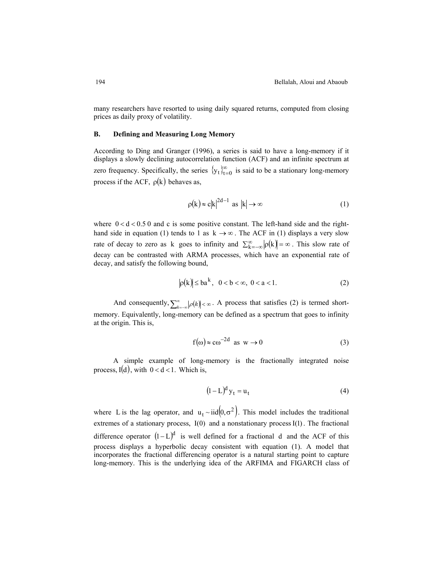many researchers have resorted to using daily squared returns, computed from closing prices as daily proxy of volatility.

#### **B. Defining and Measuring Long Memory**

According to Ding and Granger (1996), a series is said to have a long-memory if it displays a slowly declining autocorrelation function (ACF) and an infinite spectrum at zero frequency. Specifically, the series  $\{y_t\}_{t=0}^{\infty}$  is said to be a stationary long-memory process if the ACF,  $\rho(k)$  behaves as,

$$
\rho(k) \approx c|k|^{2d-1} \text{ as } |k| \to \infty \tag{1}
$$

where  $0 < d < 0.50$  and c is some positive constant. The left-hand side and the righthand side in equation (1) tends to 1 as  $k \rightarrow \infty$ . The ACF in (1) displays a very slow rate of decay to zero as k goes to infinity and  $\sum_{k=-\infty}^{\infty} |\rho(k)| = \infty$ . This slow rate of decay can be contrasted with ARMA processes, which have an exponential rate of decay, and satisfy the following bound,

$$
|\rho(k)| \le ba^k, \quad 0 < b < \infty, \quad 0 < a < 1. \tag{2}
$$

And consequently,  $\sum_{k=-\infty}^{\infty} |\rho(k)| < \infty$ . A process that satisfies (2) is termed shortmemory. Equivalently, long-memory can be defined as a spectrum that goes to infinity at the origin. This is,

$$
f(\omega) \approx c\omega^{-2d} \text{ as } w \to 0 \tag{3}
$$

A simple example of long-memory is the fractionally integrated noise process,  $I(d)$ , with  $0 < d < 1$ . Which is,

$$
(1 - L)^d y_t = u_t \tag{4}
$$

where L is the lag operator, and  $u_t \sim \text{iid}(0, \sigma^2)$ . This model includes the traditional extremes of a stationary process,  $I(0)$  and a nonstationary process  $I(1)$ . The fractional difference operator  $(I - L)^d$  is well defined for a fractional d and the ACF of this process displays a hyperbolic decay consistent with equation (1). A model that incorporates the fractional differencing operator is a natural starting point to capture long-memory. This is the underlying idea of the ARFIMA and FIGARCH class of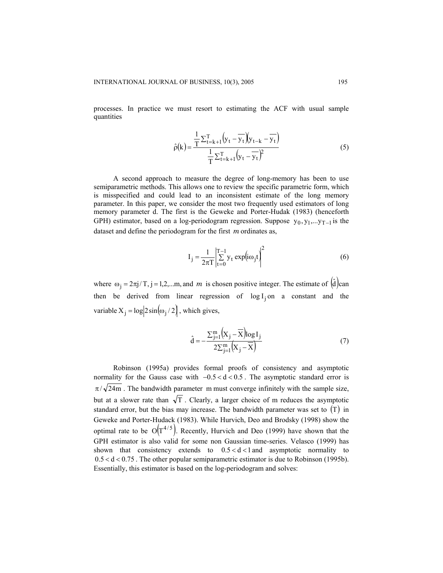processes. In practice we must resort to estimating the ACF with usual sample quantities

$$
\hat{\rho}(k) = \frac{\frac{1}{T} \sum_{t=k+1}^{T} \left( y_t - \overline{y_t} \right) \left( y_{t-k} - \overline{y_t} \right)}{\frac{1}{T} \sum_{t=k+1}^{T} \left( y_t - \overline{y_t} \right)^2}
$$
(5)

A second approach to measure the degree of long-memory has been to use semiparametric methods. This allows one to review the specific parametric form, which is misspecified and could lead to an inconsistent estimate of the long memory parameter. In this paper, we consider the most two frequently used estimators of long memory parameter d. The first is the Geweke and Porter-Hudak (1983) (henceforth GPH) estimator, based on a log-periodogram regression. Suppose  $y_0, y_1, \ldots, y_{T-1}$  is the dataset and define the periodogram for the first  $m$  ordinates as,

$$
I_j = \frac{1}{2\pi T} \left| \sum_{t=0}^{T-1} y_t \exp(i\omega_j t) \right|^2 \tag{6}
$$

where  $\omega_j = 2\pi j/T$ ,  $j = 1,2,...m$ , and m is chosen positive integer. The estimate of  $(\hat{d})$  can then be derived from linear regression of  $log I_j$  on a constant and the variable  $X_i = \log \left| 2\sin(\omega_i/2) \right|$ , which gives,

$$
\hat{\mathbf{d}} = -\frac{\sum_{j=1}^{m} \left( \mathbf{X}_{j} - \overline{\mathbf{X}} \right) \log \mathbf{I}_{j}}{2 \sum_{j=1}^{m} \left( \mathbf{X}_{j} - \overline{\mathbf{X}} \right)}
$$
(7)

Robinson (1995a) provides formal proofs of consistency and asymptotic normality for the Gauss case with −0.5 < d < 0.5 . The asymptotic standard error is  $\pi/\sqrt{24m}$ . The bandwidth parameter m must converge infinitely with the sample size, but at a slower rate than  $\sqrt{T}$ . Clearly, a larger choice of m reduces the asymptotic standard error, but the bias may increase. The bandwidth parameter was set to  $(T)$  in Geweke and Porter-Hudack (1983). While Hurvich, Deo and Brodsky (1998) show the optimal rate to be  $O(T^{4/5})$ . Recently, Hurvich and Deo (1999) have shown that the GPH estimator is also valid for some non Gaussian time-series. Velasco (1999) has shown that consistency extends to  $0.5 < d < 1$  and asymptotic normality to  $0.5 < d < 0.75$ . The other popular semiparametric estimator is due to Robinson (1995b). Essentially, this estimator is based on the log-periodogram and solves: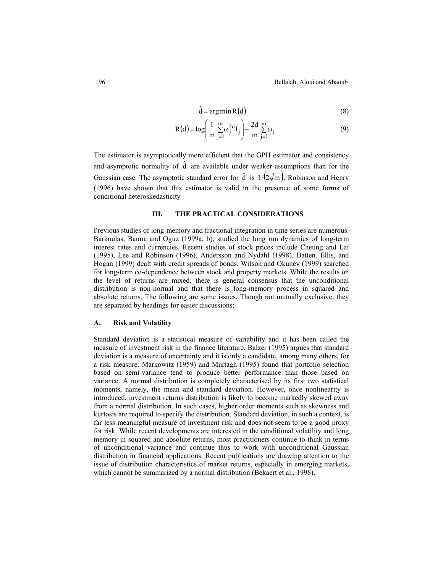$$
\hat{\mathbf{d}} = \arg\min \mathbf{R}(\mathbf{d})\tag{8}
$$

$$
R(d) = \log \left( \frac{1}{m} \sum_{j=1}^{m} \omega_j^{2d} I_j \right) - \frac{2d}{m} \sum_{j=1}^{m} \omega_j
$$
 (9)

The estimator is asymptotically more efficient that the GPH estimator and consistency and asymptotic normality of  $\hat{d}$  are available under weaker assumptions than for the Gaussian case. The asymptotic standard error for  $\hat{d}$  is  $1/(2\sqrt{m})$ . Robinson and Henry (1996) have shown that this estimator is valid in the presence of some forms of conditional heteroskedasticity

# **III. THE PRACTICAL CONSIDERATIONS**

Previous studies of long-memory and fractional integration in time series are numerous. Barkoulas, Baum, and Oguz (1999a, b), studied the long run dynamics of long-term interest rates and currencies. Recent studies of stock prices include Cheung and Lai (1995), Lee and Robinson (1996), Andersson and Nydahl (1998). Batten, Ellis, and Hogan (1999) dealt with credit spreads of bonds. Wilson and Okunev (1999) searched for long-term co-dependence between stock and property markets. While the results on the level of returns are mixed, there is general consensus that the unconditional distribution is non-normal and that there is long-memory process in squared and absolute returns. The following are some issues. Though not mutually exclusive, they are separated by headings for easier discussions:

#### **A. Risk and Volatility**

Standard deviation is a statistical measure of variability and it has been called the measure of investment risk in the finance literature. Balzer (1995) argues that standard deviation is a measure of uncertainty and it is only a candidate, among many others, for a risk measure. Markowitz (1959) and Murtagh (1995) found that portfolio selection based on semi-variance tend to produce better performance than those based on variance. A normal distribution is completely characterised by its first two statistical moments, namely, the mean and standard deviation. However, once nonlinearity is introduced, investment returns distribution is likely to become markedly skewed away from a normal distribution. In such cases, higher order moments such as skewness and kurtosis are required to specify the distribution. Standard deviation, in such a context, is far less meaningful measure of investment risk and does not seem to be a good proxy for risk. While recent developments are interested in the conditional volatility and long memory in squared and absolute returns, most practitioners continue to think in terms of unconditional variance and continue thus to work with unconditional Gaussian distribution in financial applications. Recent publications are drawing attention to the issue of distribution characteristics of market returns, especially in emerging markets, which cannot be summarized by a normal distribution (Bekaert et al., 1998).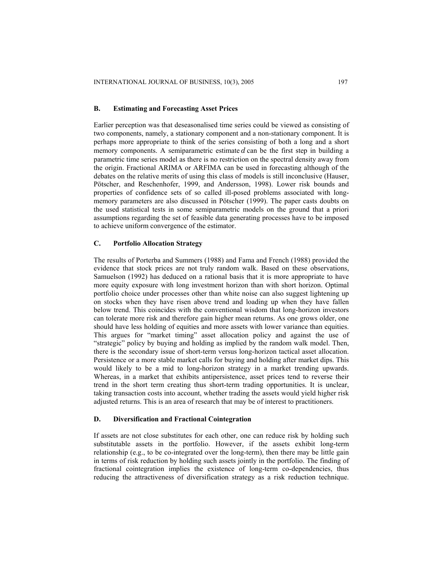# **B. Estimating and Forecasting Asset Prices**

Earlier perception was that deseasonalised time series could be viewed as consisting of two components, namely, a stationary component and a non-stationary component. It is perhaps more appropriate to think of the series consisting of both a long and a short memory components. A semiparametric estimate  $d$  can be the first step in building a parametric time series model as there is no restriction on the spectral density away from the origin. Fractional ARIMA or ARFIMA can be used in forecasting although of the debates on the relative merits of using this class of models is still inconclusive (Hauser, Pötscher, and Reschenhofer, 1999, and Andersson, 1998). Lower risk bounds and properties of confidence sets of so called ill-posed problems associated with longmemory parameters are also discussed in Pötscher (1999). The paper casts doubts on the used statistical tests in some semiparametric models on the ground that a priori assumptions regarding the set of feasible data generating processes have to be imposed to achieve uniform convergence of the estimator.

# **C. Portfolio Allocation Strategy**

The results of Porterba and Summers (1988) and Fama and French (1988) provided the evidence that stock prices are not truly random walk. Based on these observations, Samuelson (1992) has deduced on a rational basis that it is more appropriate to have more equity exposure with long investment horizon than with short horizon. Optimal portfolio choice under processes other than white noise can also suggest lightening up on stocks when they have risen above trend and loading up when they have fallen below trend. This coincides with the conventional wisdom that long-horizon investors can tolerate more risk and therefore gain higher mean returns. As one grows older, one should have less holding of equities and more assets with lower variance than equities. This argues for "market timing" asset allocation policy and against the use of "strategic" policy by buying and holding as implied by the random walk model. Then, there is the secondary issue of short-term versus long-horizon tactical asset allocation. Persistence or a more stable market calls for buying and holding after market dips. This would likely to be a mid to long-horizon strategy in a market trending upwards. Whereas, in a market that exhibits antipersistence, asset prices tend to reverse their trend in the short term creating thus short-term trading opportunities. It is unclear, taking transaction costs into account, whether trading the assets would yield higher risk adjusted returns. This is an area of research that may be of interest to practitioners.

# **D. Diversification and Fractional Cointegration**

If assets are not close substitutes for each other, one can reduce risk by holding such substitutable assets in the portfolio. However, if the assets exhibit long-term relationship (e.g., to be co-integrated over the long-term), then there may be little gain in terms of risk reduction by holding such assets jointly in the portfolio. The finding of fractional cointegration implies the existence of long-term co-dependencies, thus reducing the attractiveness of diversification strategy as a risk reduction technique.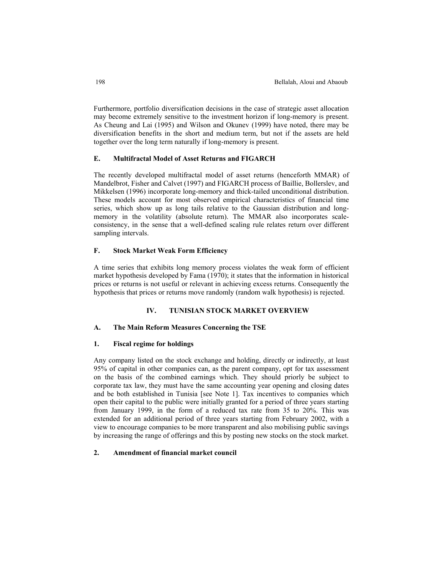Furthermore, portfolio diversification decisions in the case of strategic asset allocation may become extremely sensitive to the investment horizon if long-memory is present. As Cheung and Lai (1995) and Wilson and Okunev (1999) have noted, there may be diversification benefits in the short and medium term, but not if the assets are held together over the long term naturally if long-memory is present.

### **E. Multifractal Model of Asset Returns and FIGARCH**

The recently developed multifractal model of asset returns (henceforth MMAR) of Mandelbrot, Fisher and Calvet (1997) and FIGARCH process of Baillie, Bollerslev, and Mikkelsen (1996) incorporate long-memory and thick-tailed unconditional distribution. These models account for most observed empirical characteristics of financial time series, which show up as long tails relative to the Gaussian distribution and longmemory in the volatility (absolute return). The MMAR also incorporates scaleconsistency, in the sense that a well-defined scaling rule relates return over different sampling intervals.

# **F. Stock Market Weak Form Efficiency**

A time series that exhibits long memory process violates the weak form of efficient market hypothesis developed by Fama (1970); it states that the information in historical prices or returns is not useful or relevant in achieving excess returns. Consequently the hypothesis that prices or returns move randomly (random walk hypothesis) is rejected.

# **IV. TUNISIAN STOCK MARKET OVERVIEW**

# **A. The Main Reform Measures Concerning the TSE**

## **1. Fiscal regime for holdings**

Any company listed on the stock exchange and holding, directly or indirectly, at least 95% of capital in other companies can, as the parent company, opt for tax assessment on the basis of the combined earnings which. They should priorly be subject to corporate tax law, they must have the same accounting year opening and closing dates and be both established in Tunisia [see Note 1]. Tax incentives to companies which open their capital to the public were initially granted for a period of three years starting from January 1999, in the form of a reduced tax rate from 35 to 20%. This was extended for an additional period of three years starting from February 2002, with a view to encourage companies to be more transparent and also mobilising public savings by increasing the range of offerings and this by posting new stocks on the stock market.

# **2. Amendment of financial market council**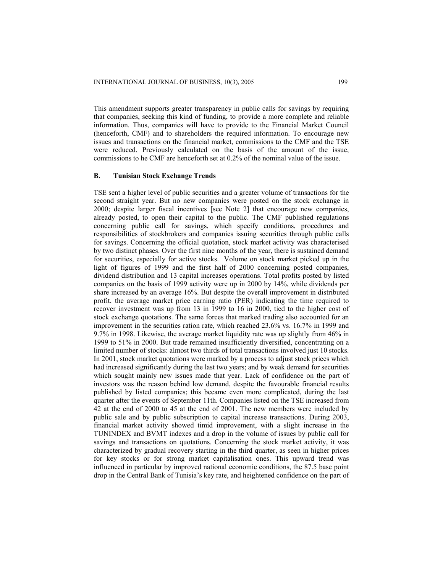This amendment supports greater transparency in public calls for savings by requiring that companies, seeking this kind of funding, to provide a more complete and reliable information. Thus, companies will have to provide to the Financial Market Council (henceforth, CMF) and to shareholders the required information. To encourage new issues and transactions on the financial market, commissions to the CMF and the TSE were reduced. Previously calculated on the basis of the amount of the issue, commissions to he CMF are henceforth set at 0.2% of the nominal value of the issue.

# **B. Tunisian Stock Exchange Trends**

TSE sent a higher level of public securities and a greater volume of transactions for the second straight year. But no new companies were posted on the stock exchange in 2000; despite larger fiscal incentives [see Note 2] that encourage new companies, already posted, to open their capital to the public. The CMF published regulations concerning public call for savings, which specify conditions, procedures and responsibilities of stockbrokers and companies issuing securities through public calls for savings. Concerning the official quotation, stock market activity was characterised by two distinct phases. Over the first nine months of the year, there is sustained demand for securities, especially for active stocks. Volume on stock market picked up in the light of figures of 1999 and the first half of 2000 concerning posted companies, dividend distribution and 13 capital increases operations. Total profits posted by listed companies on the basis of 1999 activity were up in 2000 by 14%, while dividends per share increased by an average 16%. But despite the overall improvement in distributed profit, the average market price earning ratio (PER) indicating the time required to recover investment was up from 13 in 1999 to 16 in 2000, tied to the higher cost of stock exchange quotations. The same forces that marked trading also accounted for an improvement in the securities ration rate, which reached 23.6% vs. 16.7% in 1999 and 9.7% in 1998. Likewise, the average market liquidity rate was up slightly from 46% in 1999 to 51% in 2000. But trade remained insufficiently diversified, concentrating on a limited number of stocks: almost two thirds of total transactions involved just 10 stocks. In 2001, stock market quotations were marked by a process to adjust stock prices which had increased significantly during the last two years; and by weak demand for securities which sought mainly new issues made that year. Lack of confidence on the part of investors was the reason behind low demand, despite the favourable financial results published by listed companies; this became even more complicated, during the last quarter after the events of September 11th. Companies listed on the TSE increased from 42 at the end of 2000 to 45 at the end of 2001. The new members were included by public sale and by public subscription to capital increase transactions. During 2003, financial market activity showed timid improvement, with a slight increase in the TUNINDEX and BVMT indexes and a drop in the volume of issues by public call for savings and transactions on quotations. Concerning the stock market activity, it was characterized by gradual recovery starting in the third quarter, as seen in higher prices for key stocks or for strong market capitalisation ones. This upward trend was influenced in particular by improved national economic conditions, the 87.5 base point drop in the Central Bank of Tunisia's key rate, and heightened confidence on the part of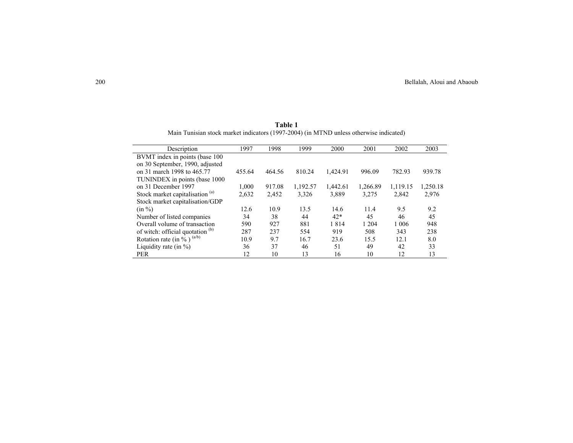| Description                                | 1997   | 1998   | 1999     | 2000     | 2001     | 2002     | 2003     |
|--------------------------------------------|--------|--------|----------|----------|----------|----------|----------|
| BVMT index in points (base 100)            |        |        |          |          |          |          |          |
| on 30 September, 1990, adjusted            |        |        |          |          |          |          |          |
| on 31 march 1998 to 465.77                 | 455.64 | 464.56 | 810.24   | 1,424.91 | 996.09   | 782.93   | 939.78   |
| TUNINDEX in points (base 1000)             |        |        |          |          |          |          |          |
| on 31 December 1997                        | 1,000  | 917.08 | 1,192.57 | 1,442.61 | 1,266.89 | 1,119.15 | 1,250.18 |
| Stock market capitalisation <sup>(a)</sup> | 2,632  | 2,452  | 3,326    | 3,889    | 3,275    | 2,842    | 2,976    |
| Stock market capitalisation/GDP            |        |        |          |          |          |          |          |
| $(in \%)$                                  | 12.6   | 10.9   | 13.5     | 14.6     | 11.4     | 9.5      | 9.2      |
| Number of listed companies                 | 34     | 38     | 44       | $42*$    | 45       | 46       | 45       |
| Overall volume of transaction              | 590    | 927    | 881      | 1814     | 1 2 0 4  | 1 0 0 6  | 948      |
| of witch: official quotation (b)           | 287    | 237    | 554      | 919      | 508      | 343      | 238      |
| Rotation rate (in $\%$ ) $(a/b)$           | 10.9   | 9.7    | 16.7     | 23.6     | 15.5     | 12.1     | 8.0      |
| Liquidity rate (in $\%$ )                  | 36     | 37     | 46       | 51       | 49       | 42       | 33       |
| <b>PER</b>                                 | 12     | 10     | 13       | 16       | 10       | 12       | 13       |

**Table 1**  Main Tunisian stock market indicators (1997-2004) (in MTND unless otherwise indicated)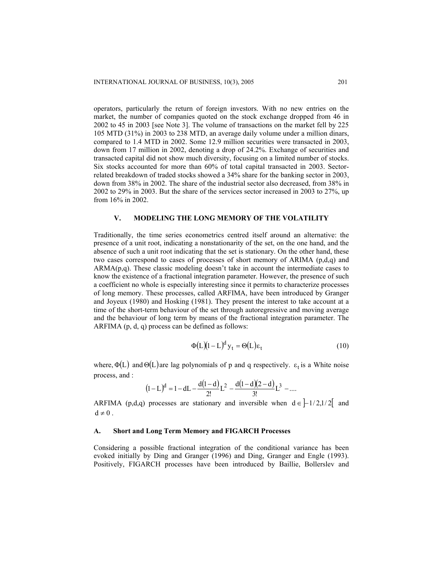operators, particularly the return of foreign investors. With no new entries on the market, the number of companies quoted on the stock exchange dropped from 46 in 2002 to 45 in 2003 [see Note 3]. The volume of transactions on the market fell by 225 105 MTD (31%) in 2003 to 238 MTD, an average daily volume under a million dinars, compared to 1.4 MTD in 2002. Some 12.9 million securities were transacted in 2003, down from 17 million in 2002, denoting a drop of 24.2%. Exchange of securities and transacted capital did not show much diversity, focusing on a limited number of stocks. Six stocks accounted for more than 60% of total capital transacted in 2003. Sectorrelated breakdown of traded stocks showed a 34% share for the banking sector in 2003, down from 38% in 2002. The share of the industrial sector also decreased, from 38% in 2002 to 29% in 2003. But the share of the services sector increased in 2003 to 27%, up from 16% in 2002.

# **V. MODELING THE LONG MEMORY OF THE VOLATILITY**

Traditionally, the time series econometrics centred itself around an alternative: the presence of a unit root, indicating a nonstationarity of the set, on the one hand, and the absence of such a unit root indicating that the set is stationary. On the other hand, these two cases correspond to cases of processes of short memory of ARIMA (p,d,q) and  $ARMA(p,q)$ . These classic modeling doesn't take in account the intermediate cases to know the existence of a fractional integration parameter. However, the presence of such a coefficient no whole is especially interesting since it permits to characterize processes of long memory. These processes, called ARFIMA, have been introduced by Granger and Joyeux (1980) and Hosking (1981). They present the interest to take account at a time of the short-term behaviour of the set through autoregressive and moving average and the behaviour of long term by means of the fractional integration parameter. The ARFIMA (p, d, q) process can be defined as follows:

$$
\Phi(L)(1-L)^{d} y_{t} = \Theta(L)\varepsilon_{t}
$$
\n(10)

where,  $\Phi(L)$  and  $\Theta(L)$  are lag polynomials of p and q respectively.  $\varepsilon_t$  is a White noise process, and :

$$
(1-L)^d = 1 - dL - \frac{d(1-d)}{2!}L^2 - \frac{d(1-d)(2-d)}{3!}L^3 - \dots
$$

ARFIMA (p,d,q) processes are stationary and inversible when  $d \in [-1/2,1/2]$  and  $d \neq 0$ .

#### **A. Short and Long Term Memory and FIGARCH Processes**

Considering a possible fractional integration of the conditional variance has been evoked initially by Ding and Granger (1996) and Ding, Granger and Engle (1993). Positively, FIGARCH processes have been introduced by Baillie, Bollerslev and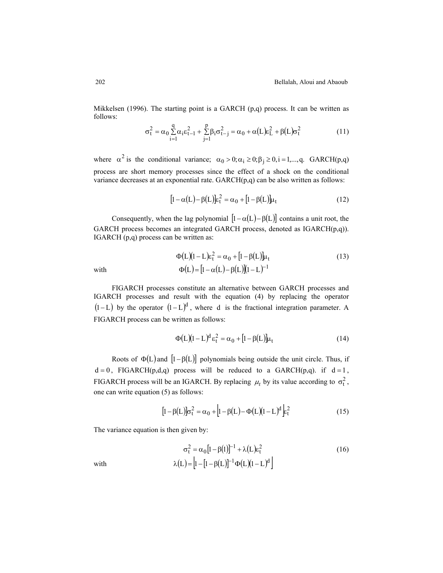Mikkelsen (1996). The starting point is a GARCH (p,q) process. It can be written as follows:

$$
\sigma_t^2 = \alpha_0 \sum_{i=1}^q \alpha_i \varepsilon_{t-1}^2 + \sum_{j=1}^p \beta_i \sigma_{t-j}^2 = \alpha_0 + \alpha (L) \varepsilon_L^2 + \beta (L) \sigma_t^2
$$
 (11)

where  $\alpha^2$  is the conditional variance;  $\alpha_0 > 0; \alpha_i \ge 0; \beta_i \ge 0, i = 1,...,q$ . GARCH(p,q) process are short memory processes since the effect of a shock on the conditional variance decreases at an exponential rate. GARCH(p,q) can be also written as follows:

$$
[1 - \alpha(L) - \beta(L)]\varepsilon_t^2 = \alpha_0 + [1 - \beta(L)]\mu_t
$$
\n(12)

Consequently, when the lag polynomial  $[1-\alpha(L)-\beta(L)]$  contains a unit root, the GARCH process becomes an integrated GARCH process, denoted as IGARCH(p,q)). IGARCH (p,q) process can be written as:

$$
\Phi(L)(1-L)\varepsilon_t^2 = \alpha_0 + [1 - \beta(L)]\mu_t
$$
  
with  

$$
\Phi(L) = [1 - \alpha(L) - \beta(L)](1-L)^{-1}
$$
 (13)

FIGARCH processes constitute an alternative between GARCH processes and IGARCH processes and result with the equation (4) by replacing the operator  $(l - L)$  by the operator  $(l - L)^d$ , where d is the fractional integration parameter. A FIGARCH process can be written as follows:

$$
\Phi(L)(1-L)^d \varepsilon_t^2 = \alpha_0 + [1 - \beta(L)]\mu_t \tag{14}
$$

Roots of  $\Phi(L)$  and  $[1-\beta(L)]$  polynomials being outside the unit circle. Thus, if  $d = 0$ , FIGARCH(p,d,q) process will be reduced to a GARCH(p,q). if  $d = 1$ , FIGARCH process will be an IGARCH. By replacing  $\mu_t$  by its value according to  $\sigma_t^2$ , one can write equation (5) as follows:

$$
\left[1 - \beta(L)\right]\sigma_t^2 = \alpha_0 + \left[1 - \beta(L) - \Phi(L)\right]\left(1 - L\right)^d \xi_t^2
$$
\n(15)

The variance equation is then given by:

$$
\sigma_t^2 = \alpha_0 [1 - \beta(1)]^{-1} + \lambda (L) \varepsilon_t^2
$$
\nwith\n
$$
\lambda(L) = \left[ 1 - \left[ 1 - \beta(L) \right]^{-1} \Phi(L) (1 - L)^d \right]
$$
\n(16)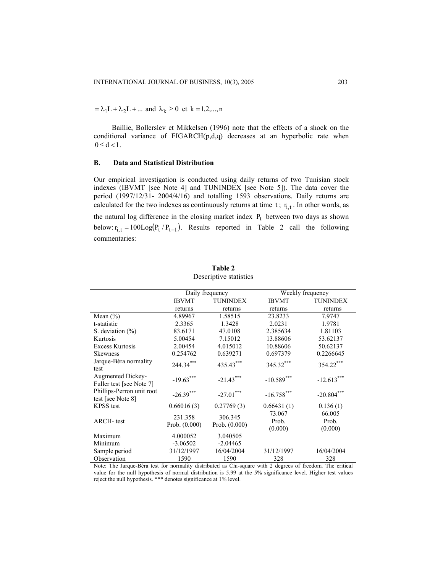$=\lambda_1 L + \lambda_2 L + \dots$  and  $\lambda_k \geq 0$  et  $k = 1, 2, \dots, n$ 

Baillie, Bollerslev et Mikkelsen (1996) note that the effects of a shock on the conditional variance of FIGARCH(p,d,q) decreases at an hyperbolic rate when  $0 \leq d < 1$ .

# **B. Data and Statistical Distribution**

Our empirical investigation is conducted using daily returns of two Tunisian stock indexes (IBVMT [see Note 4] and TUNINDEX [see Note 5]). The data cover the period (1997/12/31- 2004/4/16) and totalling 1593 observations. Daily returns are calculated for the two indexes as continuously returns at time  $t$ ;  $r_{i,t}$ . In other words, as the natural log difference in the closing market index  $P_t$  between two days as shown below:  $r_{i,t} = 100 \text{Log}(P_t / P_{t-1})$ . Results reported in Table 2 call the following commentaries:

|                                                |                            | Daily frequency            |                            | Weekly frequency           |  |
|------------------------------------------------|----------------------------|----------------------------|----------------------------|----------------------------|--|
|                                                | <b>IBVMT</b>               | <b>TUNINDEX</b>            | <b>IBVMT</b>               | <b>TUNINDEX</b>            |  |
|                                                | returns                    | returns                    | returns                    | returns                    |  |
| Mean $(\% )$                                   | 4.89967                    | 1.58515                    | 23.8233                    | 7.9747                     |  |
| t-statistic                                    | 2.3365                     | 1.3428                     | 2.0231                     | 1.9781                     |  |
| S. deviation $(\% )$                           | 83.6171                    | 47.0108                    | 2.385634                   | 1.81103                    |  |
| Kurtosis                                       | 5.00454                    | 7.15012                    | 13.88606                   | 53.62137                   |  |
| <b>Excess Kurtosis</b>                         | 2.00454                    | 4.015012                   | 10.88606                   | 50.62137                   |  |
| <b>Skewness</b>                                | 0.254762                   | 0.639271                   | 0.697379                   | 0.2266645                  |  |
| Jarque-Béra normality<br>test                  | 244.34***                  | 435.43***                  | 345.32***                  | 354.22***                  |  |
| Augmented Dickey-<br>Fuller test [see Note 7]  | $-19.63***$                | $-21.43***$                | $-10.589***$               | $-12.613***$               |  |
| Phillips-Perron unit root<br>test [see Note 8] | $-26.39***$                | $-27.01$ ***               | $-16.758***$               | $-20.804***$               |  |
| <b>KPSS</b> test                               | 0.66016(3)                 | 0.27769(3)                 | 0.66431(1)                 | 0.136(1)                   |  |
| <b>ARCH-</b> test                              | 231.358<br>Prob. $(0.000)$ | 306.345<br>Prob. $(0.000)$ | 73.067<br>Prob.<br>(0.000) | 66.005<br>Prob.<br>(0.000) |  |
| Maximum                                        | 4.000052                   | 3.040505                   |                            |                            |  |
| Minimum                                        | $-3.06502$                 | $-2.04465$                 |                            |                            |  |
| Sample period                                  | 31/12/1997                 | 16/04/2004                 | 31/12/1997                 | 16/04/2004                 |  |
| Observation                                    | 1590                       | 1590                       | 328                        | 328                        |  |

**Table 2** Descriptive statistics

Note: The Jarque-Béra test for normality distributed as Chi-square with 2 degrees of freedom. The critical value for the null hypothesis of normal distribution is 5.99 at the 5% significance level. Higher test values reject the null hypothesis. \*\*\* denotes significance at 1% level.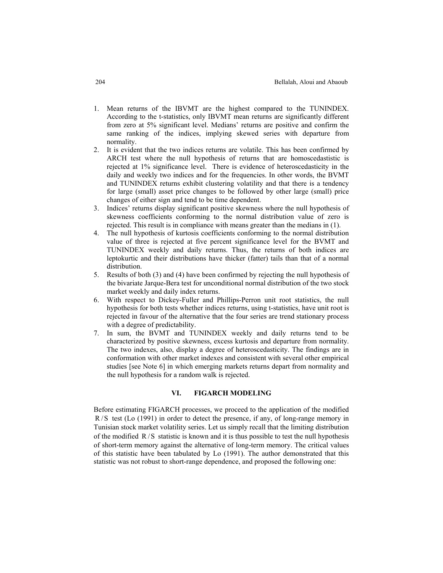- 1. Mean returns of the IBVMT are the highest compared to the TUNINDEX. According to the t-statistics, only IBVMT mean returns are significantly different from zero at 5% significant level. Medians' returns are positive and confirm the same ranking of the indices, implying skewed series with departure from normality.
- 2. It is evident that the two indices returns are volatile. This has been confirmed by ARCH test where the null hypothesis of returns that are homoscedastistic is rejected at 1% significance level. There is evidence of heteroscedasticity in the daily and weekly two indices and for the frequencies. In other words, the BVMT and TUNINDEX returns exhibit clustering volatility and that there is a tendency for large (small) asset price changes to be followed by other large (small) price changes of either sign and tend to be time dependent.
- 3. Indices' returns display significant positive skewness where the null hypothesis of skewness coefficients conforming to the normal distribution value of zero is rejected. This result is in compliance with means greater than the medians in (1).
- 4. The null hypothesis of kurtosis coefficients conforming to the normal distribution value of three is rejected at five percent significance level for the BVMT and TUNINDEX weekly and daily returns. Thus, the returns of both indices are leptokurtic and their distributions have thicker (fatter) tails than that of a normal distribution.
- 5. Results of both (3) and (4) have been confirmed by rejecting the null hypothesis of the bivariate Jarque-Bera test for unconditional normal distribution of the two stock market weekly and daily index returns.
- 6. With respect to Dickey-Fuller and Phillips-Perron unit root statistics, the null hypothesis for both tests whether indices returns, using t-statistics, have unit root is rejected in favour of the alternative that the four series are trend stationary process with a degree of predictability.
- 7. In sum, the BVMT and TUNINDEX weekly and daily returns tend to be characterized by positive skewness, excess kurtosis and departure from normality. The two indexes, also, display a degree of heteroscedasticity. The findings are in conformation with other market indexes and consistent with several other empirical studies [see Note 6] in which emerging markets returns depart from normality and the null hypothesis for a random walk is rejected.

# **VI. FIGARCH MODELING**

Before estimating FIGARCH processes, we proceed to the application of the modified  $R/S$  test (Lo (1991) in order to detect the presence, if any, of long-range memory in Tunisian stock market volatility series. Let us simply recall that the limiting distribution of the modified  $R/S$  statistic is known and it is thus possible to test the null hypothesis of short-term memory against the alternative of long-term memory. The critical values of this statistic have been tabulated by Lo (1991). The author demonstrated that this statistic was not robust to short-range dependence, and proposed the following one: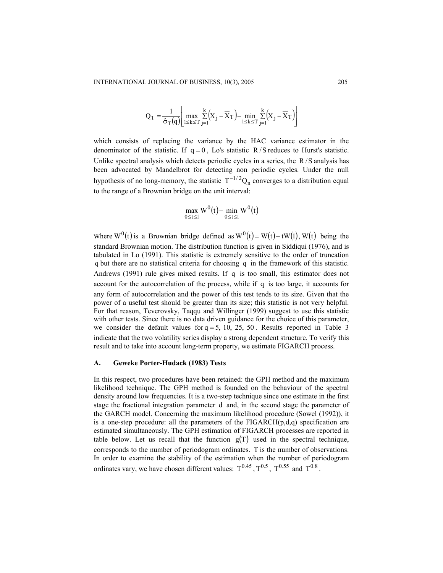$$
Q_T = \frac{1}{\hat{\sigma}_T(q)} \left[ \max_{1 \le k \le T} \sum_{j=1}^k (X_j - \overline{X}_T) - \min_{1 \le k \le T} \sum_{j=1}^k (X_j - \overline{X}_T) \right]
$$

which consists of replacing the variance by the HAC variance estimator in the denominator of the statistic. If  $q = 0$ , Lo's statistic R/S reduces to Hurst's statistic. Unlike spectral analysis which detects periodic cycles in a series, the  $R/S$  analysis has been advocated by Mandelbrot for detecting non periodic cycles. Under the null hypothesis of no long-memory, the statistic  $T^{-1/2}Q_n$  converges to a distribution equal to the range of a Brownian bridge on the unit interval:

$$
\max_{0\leq t\leq 1}W^0(t)-\min_{0\leq t\leq 1}W^0(t)
$$

where W<sup>0</sup>(t) is a Brownian bridge defined as  $W^0(t) = W(t) - tW(1)$ , W(t) being the standard Brownian motion. The distribution function is given in Siddiqui (1976), and is tabulated in Lo (1991). This statistic is extremely sensitive to the order of truncation q but there are no statistical criteria for choosing q in the framework of this statistic. Andrews  $(1991)$  rule gives mixed results. If q is too small, this estimator does not account for the autocorrelation of the process, while if q is too large, it accounts for any form of autocorrelation and the power of this test tends to its size. Given that the power of a useful test should be greater than its size; this statistic is not very helpful. For that reason, Teverovsky, Taqqu and Willinger (1999) suggest to use this statistic we consider the default values for  $q = 5$ , 10, 25, 50. Results reported in Table 3 with other tests. Since there is no data driven guidance for the choice of this parameter, indicate that the two volatility series display a strong dependent structure. To verify this result and to take into account long-term property, we estimate FIGARCH process.

#### **A. Geweke Porter-Hudack (1983) Tests**

In this respect, two procedures have been retained: the GPH method and the maximum likelihood technique. The GPH method is founded on the behaviour of the spectral density around low frequencies. It is a two-step technique since one estimate in the first stage the fractional integration parameter d and, in the second stage the parameter of the GARCH model. Concerning the maximum likelihood procedure (Sowel (1992)), it is a one-step procedure: all the parameters of the  $FIGARCH(p,d,q)$  specification are estimated simultaneously. The GPH estimation of FIGARCH processes are reported in table below. Let us recall that the function  $g(T)$  used in the spectral technique, ordinates vary, we have chosen different values:  $T^{0.45}$ ,  $T^{0.5}$ ,  $T^{0.55}$  and  $T^{0.8}$ . corresponds to the number of periodogram ordinates. T is the number of observations. In order to examine the stability of the estimation when the number of periodogram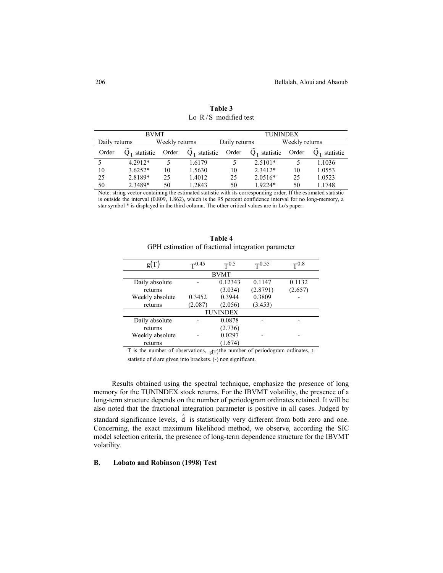|               | <b>BVMT</b>     |                |                                              | <b>TUNINDEX</b> |                 |                |                 |
|---------------|-----------------|----------------|----------------------------------------------|-----------------|-----------------|----------------|-----------------|
| Daily returns |                 | Weekly returns |                                              | Daily returns   |                 | Weekly returns |                 |
| Order         | $O_T$ statistic | Order          | $\widetilde{\phantom{m}}$<br>$Q_T$ statistic | Order           | $Q_T$ statistic | Order          | $O_T$ statistic |
|               | $42912*$        |                | 1.6179                                       |                 | $2.5101*$       |                | 1.1036          |
| 10            | $3.6252*$       | 10             | 1.5630                                       | 10              | $2.3412*$       | 10             | 1.0553          |
| 25            | 2.8189*         | 25             | 1.4012                                       | 25              | $2.0516*$       | 25             | 1.0523          |
| 50            | 2.3489*         | 50             | 1.2843                                       | 50              | $19224*$        | 50             | 1.1748          |

**Table 3** Lo R/S modified test

Note: string vector containing the estimated statistic with its corresponding order. If the estimated statistic is outside the interval (0.809, 1.862), which is the 95 percent confidence interval for no long-memory, a star symbol \* is displayed in the third column. The other critical values are in Lo's paper.

| g(T)            | $T^{0.45}$  | $T^{0.5}$       | $T^{0.55}$ | $\mathbf{T}^{0.8}$ |  |  |  |  |  |  |
|-----------------|-------------|-----------------|------------|--------------------|--|--|--|--|--|--|
|                 | <b>BVMT</b> |                 |            |                    |  |  |  |  |  |  |
| Daily absolute  |             | 0.12343         | 0.1147     | 0.1132             |  |  |  |  |  |  |
| returns         |             | (3.034)         | (2.8791)   | (2.657)            |  |  |  |  |  |  |
| Weekly absolute | 0.3452      | 0.3944          | 0.3809     |                    |  |  |  |  |  |  |
| returns         | (2.087)     | (2.056)         | (3.453)    |                    |  |  |  |  |  |  |
|                 |             | <b>TUNINDEX</b> |            |                    |  |  |  |  |  |  |
| Daily absolute  |             | 0.0878          |            |                    |  |  |  |  |  |  |
| returns         |             | (2.736)         |            |                    |  |  |  |  |  |  |
| Weekly absolute |             | 0.0297          |            |                    |  |  |  |  |  |  |
| returns         |             | (1.674)         |            |                    |  |  |  |  |  |  |

**Table 4** GPH estimation of fractional integration parameter

T is the number of observations,  $g(T)$ the number of periodogram ordinates, t-

statistic of d are given into brackets. (-) non significant.

Results obtained using the spectral technique, emphasize the presence of long memory for the TUNINDEX stock returns. For the IBVMT volatility, the presence of a long-term structure depends on the number of periodogram ordinates retained. It will be also noted that the fractional integration parameter is positive in all cases. Judged by standard significance levels,  $\hat{d}$  is statistically very different from both zero and one. Concerning, the exact maximum likelihood method, we observe, according the SIC model selection criteria, the presence of long-term dependence structure for the IBVMT volatility.

## **B. Lobato and Robinson (1998) Test**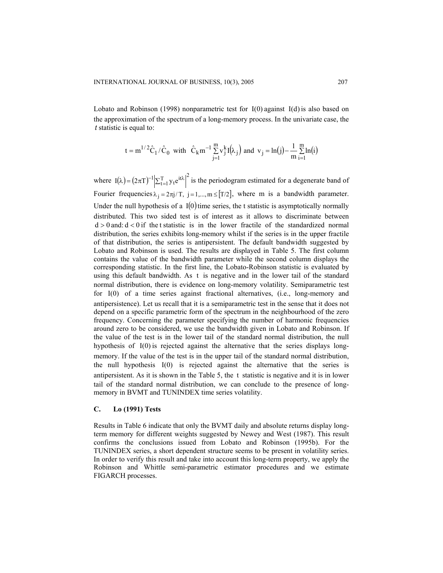Lobato and Robinson (1998) nonparametric test for  $I(0)$  against  $I(d)$  is also based on the approximation of the spectrum of a long-memory process. In the univariate case, the statistic is equal to: *t*

$$
t = m^{1/2} \hat{C}_1 / \hat{C}_0 \text{ with } \hat{C}_k m^{-1} \sum_{j=1}^m v_j^k I(\!\lambda_j \! \big) \text{ and } v_j = ln(j) - \frac{1}{m} \sum_{i=1}^m ln(i)
$$

where  $I(\lambda) = (2\pi T)^{-1} \left| \sum_{t=1}^{T} y_t e^{it\lambda} \right|^2$  is the periodogram estimated for a degenerate band of Fourier frequencies  $\lambda_i = 2\pi j/T$ ,  $j = 1,..., m \leq [T/2]$ , where m is a bandwidth parameter. Under the null hypothesis of a  $I(0)$  time series, the t statistic is asymptotically normally using this default bandwidth. As t is negative and in the lower tail of the standard  $d > 0$  and:  $d < 0$  if the t statistic is in the lower fractile of the standardized normal for  $I(0)$  of a time series against fractional alternatives, (i.e., long-memory and hypothesis of  $I(0)$  is rejected against the alternative that the series displays longthe null hypothesis  $I(0)$  is rejected against the alternative that the series is distributed. This two sided test is of interest as it allows to discriminate between distribution, the series exhibits long-memory whilst if the series is in the upper fractile of that distribution, the series is antipersistent. The default bandwidth suggested by Lobato and Robinson is used. The results are displayed in Table 5. The first column contains the value of the bandwidth parameter while the second column displays the corresponding statistic. In the first line, the Lobato-Robinson statistic is evaluated by normal distribution, there is evidence on long-memory volatility. Semiparametric test antipersistence). Let us recall that it is a semiparametric test in the sense that it does not depend on a specific parametric form of the spectrum in the neighbourhood of the zero frequency. Concerning the parameter specifying the number of harmonic frequencies around zero to be considered, we use the bandwidth given in Lobato and Robinson. If the value of the test is in the lower tail of the standard normal distribution, the null memory. If the value of the test is in the upper tail of the standard normal distribution, antipersistent. As it is shown in the Table  $5$ , the  $t$  statistic is negative and it is in lower tail of the standard normal distribution, we can conclude to the presence of longmemory in BVMT and TUNINDEX time series volatility.

# **C. Lo (1991) Tests**

Results in Table 6 indicate that only the BVMT daily and absolute returns display longterm memory for different weights suggested by Newey and West (1987). This result confirms the conclusions issued from Lobato and Robinson (1995b). For the TUNINDEX series, a short dependent structure seems to be present in volatility series. In order to verify this result and take into account this long-term property, we apply the Robinson and Whittle semi-parametric estimator procedures and we estimate FIGARCH processes.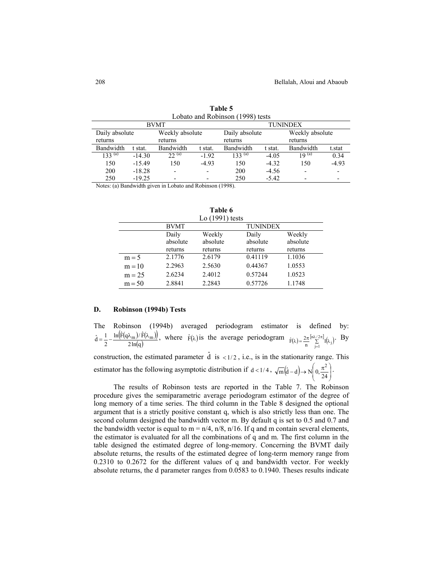|             |                                   | <b>BVMT</b>              |                | <b>TUNINDEX</b> |                 |           |                          |  |  |
|-------------|-----------------------------------|--------------------------|----------------|-----------------|-----------------|-----------|--------------------------|--|--|
|             | Daily absolute<br>Weekly absolute |                          | Daily absolute |                 | Weekly absolute |           |                          |  |  |
| returns     |                                   | returns                  | returns        |                 |                 |           |                          |  |  |
| Bandwidth   | t stat.                           | Bandwidth                | t stat.        | Bandwidth       | t stat.         | Bandwidth | t.stat                   |  |  |
| $133^{(a)}$ | $-14.30$                          | $22^{(a)}$               | $-1.92$        | $133^{(a)}$     | $-4.05$         | 19 $(a)$  | 0.34                     |  |  |
| 150         | $-15.49$                          | 150                      | $-4.93$        | 150             | $-4.32$         | 150       | $-4.93$                  |  |  |
| 200         | $-18.28$                          | $\overline{\phantom{a}}$ |                | 200             | $-4.56$         |           | ٠                        |  |  |
| 250         | $-19.25$                          | $\overline{\phantom{0}}$ |                | 250             | $-5.42$         |           | $\overline{\phantom{0}}$ |  |  |
|             |                                   |                          |                |                 |                 |           |                          |  |  |

**Table 5** Lobato and Robinson (1998) tests

Notes: (a) Bandwidth given in Lobato and Robinson (1998).

|          |             | Lo $(1991)$ tests |                 |          |
|----------|-------------|-------------------|-----------------|----------|
|          | <b>BVMT</b> |                   | <b>TUNINDEX</b> |          |
|          | Daily       | Weekly            | Daily           | Weekly   |
|          | absolute    | absolute          | absolute        | absolute |
|          | returns     | returns           | returns         | returns  |
| $m = 5$  | 2.1776      | 2.6179            | 0.41119         | 1.1036   |
| $m = 10$ | 2.2963      | 2.5630            | 0.44367         | 1.0553   |
| $m = 25$ | 2.6234      | 2.4012            | 0.57244         | 1.0523   |
| $m = 50$ | 2.8841      | 2.2843            | 0.57726         | 1.1748   |

**Table 6**

# **D. Robinson (1994b) Tests**

The Robinson (1994b) averaged periodogram estimator is defined by:  $(F(q\lambda_{m})/F(\lambda_{m}))$  $2\ln(q)$  $\ln(\hat{F}(q\lambda_{m}))/\hat{F}$  $\hat{d} = \frac{1}{2} - \frac{\ln[F(q\lambda_m)/F(\lambda_m)]}{2\ln(q)}$ , where  $\hat{F}(\lambda)$  is the average periodogram  $\hat{F}(\lambda) = \frac{2\pi}{n} \sum_{i=1}^{\lfloor n\lambda/2\pi \rfloor} I(\lambda_i)$  $\hat{F}(\lambda) = \frac{2\pi}{n} \sum_{j=1}^{\lfloor n\lambda/2\pi \rfloor} I(\lambda_j)$ . By

construction, the estimated parameter  $\hat{d}$  is <1/2, i.e., is in the stationarity range. This estimator has the following asymptotic distribution if  $d < 1/4$ ,  $\sqrt{m}(\hat{d}-d) \rightarrow N \left(0, \frac{\pi^2}{24}\right)$ J Ι  $\overline{\phantom{a}}$  $\overline{m}(\hat{d}-d) \rightarrow N\left(0, \frac{\pi^2}{24}\right)$ .

The results of Robinson tests are reported in the Table 7. The Robinson procedure gives the semiparametric average periodogram estimator of the degree of long memory of a time series. The third column in the Table 8 designed the optional argument that is a strictly positive constant q, which is also strictly less than one. The second column designed the bandwidth vector m. By default q is set to 0.5 and 0.7 and the bandwidth vector is equal to  $m = n/4$ ,  $n/8$ ,  $n/16$ . If q and m contain several elements, the estimator is evaluated for all the combinations of q and m. The first column in the table designed the estimated degree of long-memory. Concerning the BVMT daily absolute returns, the results of the estimated degree of long-term memory range from 0.2310 to 0.2672 for the different values of q and bandwidth vector. For weekly absolute returns, the d parameter ranges from 0.0583 to 0.1940. Theses results indicate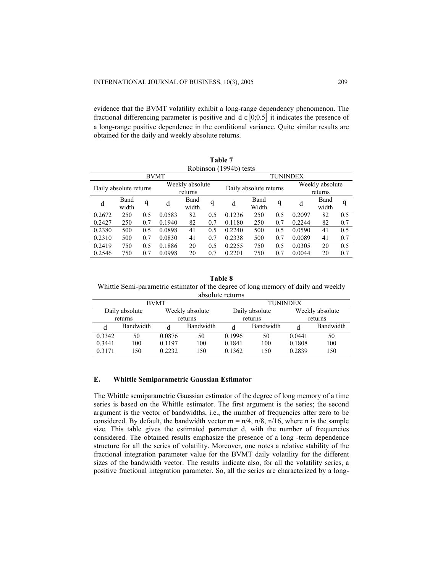evidence that the BVMT volatility exhibit a long-range dependency phenomenon. The fractional differencing parameter is positive and  $d \in [0;0.5]$  it indicates the presence of a long-range positive dependence in the conditional variance. Quite similar results are obtained for the daily and weekly absolute returns.

| Table 7 |                                   |     |             |                        |     |         |       |          |        |                 |     |
|---------|-----------------------------------|-----|-------------|------------------------|-----|---------|-------|----------|--------|-----------------|-----|
|         | Robinson (1994b) tests            |     |             |                        |     |         |       |          |        |                 |     |
|         |                                   |     | <b>BVMT</b> |                        |     |         |       | TUNINDEX |        |                 |     |
|         |                                   |     |             | Weekly absolute        |     |         |       |          |        | Weekly absolute |     |
|         | Daily absolute returns<br>returns |     |             | Daily absolute returns |     | returns |       |          |        |                 |     |
| d       | Band                              | q   | d           | Band                   | q   | d       | Band  | q        | d      | Band            | q   |
|         | width                             |     |             | width                  |     |         | Width |          |        | width           |     |
| 0.2672  | 250                               | 0.5 | 0.0583      | 82                     | 0.5 | 0.1236  | 250   | 0.5      | 0.2097 | 82              | 0.5 |
| 0.2427  | 250                               | 0.7 | 0.1940      | 82                     | 0.7 | 0.1180  | 250   | 0.7      | 0.2244 | 82              | 0.7 |
| 0.2380  | 500                               | 0.5 | 0.0898      | 41                     | 0.5 | 0.2240  | 500   | 0.5      | 0.0590 | 41              | 0.5 |
| 0.2310  | 500                               | 0.7 | 0.0830      | 41                     | 0.7 | 0.2338  | 500   | 0.7      | 0.0089 | 41              | 0.7 |
| 0.2419  | 750                               | 0.5 | 0.1886      | 20                     | 0.5 | 0.2255  | 750   | 0.5      | 0.0305 | 20              | 0.5 |
| 0.2546  | 750                               | 0.7 | 0.0998      | 20                     | 0.7 | 0.2201  | 750   | 0.7      | 0.0044 | 20              | 0.7 |

#### **Table 8**

Whittle Semi-parametric estimator of the degree of long memory of daily and weekly absolute returns

| <b>BVMT</b> |                                   |        |                | <b>TUNINDEX</b> |                 |        |           |  |
|-------------|-----------------------------------|--------|----------------|-----------------|-----------------|--------|-----------|--|
|             | Weekly absolute<br>Daily absolute |        | Daily absolute |                 | Weekly absolute |        |           |  |
|             | returns<br>returns                |        | returns        |                 | returns         |        |           |  |
|             | Bandwidth                         | d      | Bandwidth      |                 | Bandwidth       | d      | Bandwidth |  |
| 0.3342      | 50                                | 0.0876 | 50             | 0.1996          | 50              | 0.0441 | 50        |  |
| 0.3441      | 100                               | 0.1197 | 100            | 0.1841          | 100             | 0.1808 | 100       |  |
| 0 3 1 7 1   | 150                               | 0.2232 | 150            | 0.1362          | 150             | 0.2839 | 150       |  |

#### **E. Whittle Semiparametric Gaussian Estimator**

The Whittle semiparametric Gaussian estimator of the degree of long memory of a time series is based on the Whittle estimator. The first argument is the series; the second argument is the vector of bandwidths, i.e., the number of frequencies after zero to be considered. By default, the bandwidth vector  $m = n/4$ ,  $n/8$ ,  $n/16$ , where n is the sample size. This table gives the estimated parameter d, with the number of frequencies considered. The obtained results emphasize the presence of a long -term dependence structure for all the series of volatility. Moreover, one notes a relative stability of the fractional integration parameter value for the BVMT daily volatility for the different sizes of the bandwidth vector. The results indicate also, for all the volatility series, a positive fractional integration parameter. So, all the series are characterized by a long-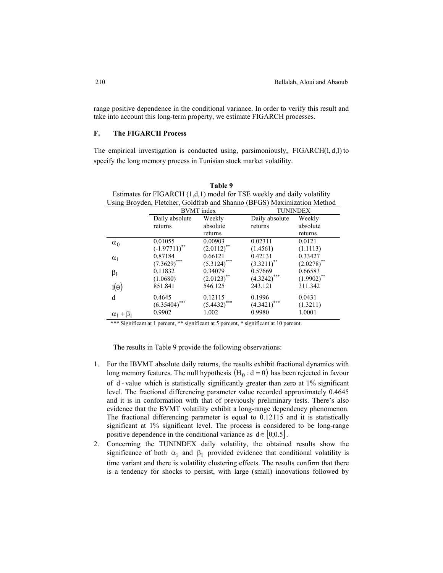range positive dependence in the conditional variance. In order to verify this result and take into account this long-term property, we estimate FIGARCH processes.

# **F. The FIGARCH Process**

The empirical investigation is conducted using, parsimoniously,  $FIGARCH(1, d, 1)$  to specify the long memory process in Tunisian stock market volatility.

**Table 9**

| Estimates for FIGARCH (1,d,1) model for TSE weekly and daily volatility<br>Using Broyden, Fletcher, Goldfrab and Shanno (BFGS) Maximization Method |                  |                   |                 |                 |  |  |  |  |
|----------------------------------------------------------------------------------------------------------------------------------------------------|------------------|-------------------|-----------------|-----------------|--|--|--|--|
|                                                                                                                                                    |                  | <b>BVMT</b> index | <b>TUNINDEX</b> |                 |  |  |  |  |
|                                                                                                                                                    | Daily absolute   | Weekly            | Daily absolute  | Weekly          |  |  |  |  |
|                                                                                                                                                    | returns          | absolute          | returns         | absolute        |  |  |  |  |
|                                                                                                                                                    |                  | returns           |                 | returns         |  |  |  |  |
| $\alpha_0$                                                                                                                                         | 0.01055          | 0.00903           | 0.02311         | 0.0121          |  |  |  |  |
|                                                                                                                                                    | $(-1.97711)^{*}$ | $(2.0112)$ **     | (1.4561)        | (1.1113)        |  |  |  |  |
| $\alpha_1$                                                                                                                                         | 0.87184          | 0.66121           | 0.42131         | 0.33427         |  |  |  |  |
|                                                                                                                                                    | $(7.3629)$ ***   | $(5.3124)$ ***    | $(3.3211)^{**}$ | $(2.0278)$ **   |  |  |  |  |
| $\beta_1$                                                                                                                                          | 0.11832          | 0.34079           | 0.57669         | 0.66583         |  |  |  |  |
|                                                                                                                                                    | (1.0680)         | $(2.0123)$ **     | $(4.3242)$ ***  | $(1.9902)^{**}$ |  |  |  |  |
| $l(\theta)$                                                                                                                                        | 851.841          | 546.125           | 243.121         | 311.342         |  |  |  |  |
| d                                                                                                                                                  | 0.4645           | 0.12115           | 0.1996          | 0.0431          |  |  |  |  |
|                                                                                                                                                    | ***<br>(6.35404) | $(5.4432)$ ***    | (4.3421)        | (1.3211)        |  |  |  |  |
| $\alpha_1 + \beta_2$                                                                                                                               | 0.9902           | 1.002             | 0.9980          | 1.0001          |  |  |  |  |

\*\*\* Significant at 1 percent, \*\* significant at 5 percent, \* significant at 10 percent.

The results in Table 9 provide the following observations:

- 1. For the IBVMT absolute daily returns, the results exhibit fractional dynamics with long memory features. The null hypothesis  $(H_0 : d = 0)$  has been rejected in favour of  $d$ -value which is statistically significantly greater than zero at  $1\%$  significant level. The fractional differencing parameter value recorded approximately 0.4645 and it is in conformation with that of previously preliminary tests. There's also evidence that the BVMT volatility exhibit a long-range dependency phenomenon. The fractional differencing parameter is equal to 0.12115 and it is statistically significant at 1% significant level. The process is considered to be long-range positive dependence in the conditional variance as  $d \in [0, 0.5]$ .
- 2. Concerning the TUNINDEX daily volatility, the obtained results show the significance of both  $\alpha_1$  and  $\beta_1$  provided evidence that conditional volatility is time variant and there is volatility clustering effects. The results confirm that there is a tendency for shocks to persist, with large (small) innovations followed by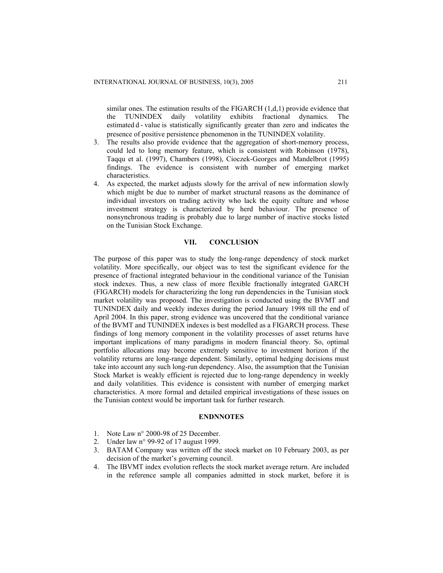similar ones. The estimation results of the  $FIGARCH (1,d,1)$  provide evidence that the TUNINDEX daily volatility exhibits fractional dynamics. The estimated d - value is statistically significantly greater than zero and indicates the presence of positive persistence phenomenon in the TUNINDEX volatility.

- 3. The results also provide evidence that the aggregation of short-memory process, could led to long memory feature, which is consistent with Robinson (1978), Taqqu et al. (1997), Chambers (1998), Cioczek-Georges and Mandelbrot (1995) findings. The evidence is consistent with number of emerging market characteristics.
- 4. As expected, the market adjusts slowly for the arrival of new information slowly which might be due to number of market structural reasons as the dominance of individual investors on trading activity who lack the equity culture and whose investment strategy is characterized by herd behaviour. The presence of nonsynchronous trading is probably due to large number of inactive stocks listed on the Tunisian Stock Exchange.

## **VII. CONCLUSION**

The purpose of this paper was to study the long-range dependency of stock market volatility. More specifically, our object was to test the significant evidence for the presence of fractional integrated behaviour in the conditional variance of the Tunisian stock indexes. Thus, a new class of more flexible fractionally integrated GARCH (FIGARCH) models for characterizing the long run dependencies in the Tunisian stock market volatility was proposed. The investigation is conducted using the BVMT and TUNINDEX daily and weekly indexes during the period January 1998 till the end of April 2004. In this paper, strong evidence was uncovered that the conditional variance of the BVMT and TUNINDEX indexes is best modelled as a FIGARCH process. These findings of long memory component in the volatility processes of asset returns have important implications of many paradigms in modern financial theory. So, optimal portfolio allocations may become extremely sensitive to investment horizon if the volatility returns are long-range dependent. Similarly, optimal hedging decisions must take into account any such long-run dependency. Also, the assumption that the Tunisian Stock Market is weakly efficient is rejected due to long-range dependency in weekly and daily volatilities. This evidence is consistent with number of emerging market characteristics. A more formal and detailed empirical investigations of these issues on the Tunisian context would be important task for further research.

## **ENDNNOTES**

- 1. Note Law n° 2000-98 of 25 December.
- 2. Under law n° 99-92 of 17 august 1999.
- 3. BATAM Company was written off the stock market on 10 February 2003, as per decision of the market's governing council.
- 4. The IBVMT index evolution reflects the stock market average return. Are included in the reference sample all companies admitted in stock market, before it is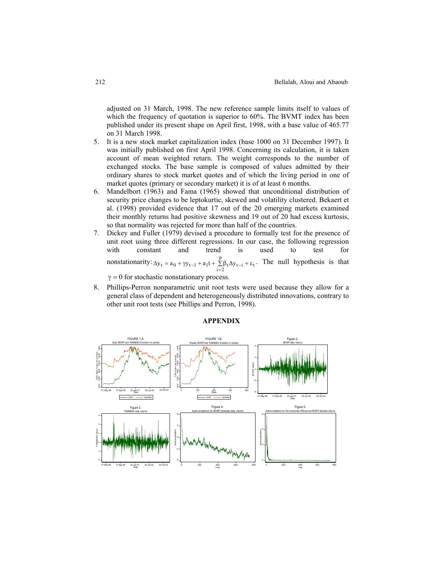adjusted on 31 March, 1998. The new reference sample limits itself to values of which the frequency of quotation is superior to 60%. The BVMT index has been published under its present shape on April first, 1998, with a base value of 465.77 on 31 March 1998.

- 5. It is a new stock market capitalization index (base 1000 on 31 December 1997). It was initially published on first April 1998. Concerning its calculation, it is taken account of mean weighted return. The weight corresponds to the number of exchanged stocks. The base sample is composed of values admitted by their ordinary shares to stock market quotes and of which the living period in one of market quotes (primary or secondary market) it is of at least 6 months.
- 6. Mandelbort (1963) and Fama (1965) showed that unconditional distribution of security price changes to be leptokurtic, skewed and volatility clustered. Bekaert et al. (1998) provided evidence that 17 out of the 20 emerging markets examined their monthly returns had positive skewness and 19 out of 20 had excess kurtosis, so that normality was rejected for more than half of the countries.
- 7. Dickey and Fuller (1979) devised a procedure to formally test for the presence of unit root using three different regressions. In our case, the following regression with constant and trend is used to test for nonstationarity:  $\Delta y_t = a_0 + \gamma y_{t-1} + a_1 t + \sum_{i=1}^{p} \beta_t \Delta y_{t-i} + \varepsilon_t$ . The null hypothesis is that  $\Delta y_t = a_0 + \gamma y_{t-1} + a_1 t + \sum_{i=2}^{5} \beta_t \Delta y_{t-i} + \varepsilon$  $\gamma = 0$  for stochastic nonstationary process.
- 8. Phillips-Perron nonparametric unit root tests were used because they allow for a general class of dependent and heterogeneously distributed innovations, contrary to other unit root tests (see Phillips and Perron, 1998).



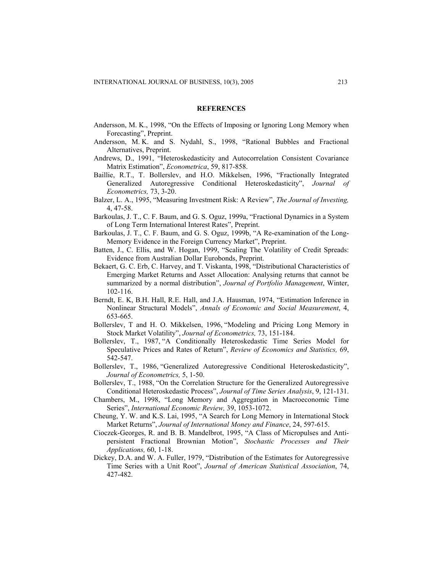#### **REFERENCES**

- Andersson, M. K., 1998, "On the Effects of Imposing or Ignoring Long Memory when Forecasting", Preprint.
- Andersson, M. K. and S. Nydahl, S., 1998, "Rational Bubbles and Fractional Alternatives, Preprint.
- Andrews, D., 1991, "Heteroskedasticity and Autocorrelation Consistent Covariance Matrix Estimation", *Econometrica*, 59, 817-858.
- Baillie, R.T., T. Bollerslev, and H.O. Mikkelsen, 1996, "Fractionally Integrated Generalized Autoregressive Conditional Heteroskedasticity", *Journal of Econometrics,* 73, 3-20.
- Balzer, L. A., 1995, "Measuring Investment Risk: A Review", *The Journal of Investing,* 4, 47-58.
- Barkoulas, J. T., C. F. Baum, and G. S. Oguz, 1999a, "Fractional Dynamics in a System of Long Term International Interest Rates", Preprint.
- Barkoulas, J. T., C. F. Baum, and G. S. Oguz, 1999b, "A Re-examination of the Long-Memory Evidence in the Foreign Currency Market", Preprint.
- Batten, J., C. Ellis, and W. Hogan, 1999, "Scaling The Volatility of Credit Spreads: Evidence from Australian Dollar Eurobonds, Preprint.
- Bekaert, G. C. Erb, C. Harvey, and T. Viskanta, 1998, "Distributional Characteristics of Emerging Market Returns and Asset Allocation: Analysing returns that cannot be summarized by a normal distribution", *Journal of Portfolio Management*, Winter, 102-116.
- Berndt, E. K, B.H. Hall, R.E. Hall, and J.A. Hausman, 1974, "Estimation Inference in Nonlinear Structural Models", *Annals of Economic and Social Measurement*, 4, 653-665.
- Bollerslev, T and H. O. Mikkelsen, 1996, "Modeling and Pricing Long Memory in Stock Market Volatility", *Journal of Econometrics,* 73, 151-184.
- Bollerslev, T., 1987, "A Conditionally Heteroskedastic Time Series Model for Speculative Prices and Rates of Return", *Review of Economics and Statistics,* 69, 542-547.
- Bollerslev, T., 1986, "Generalized Autoregressive Conditional Heteroskedasticity", *Journal of Econometrics,* 5, 1-50.
- Bollerslev, T., 1988, "On the Correlation Structure for the Generalized Autoregressive Conditional Heteroskedastic Process", *Journal of Time Series Analysis*, 9, 121-131.
- Chambers, M., 1998, "Long Memory and Aggregation in Macroeconomic Time Series", *International Economic Review,* 39, 1053-1072.
- Cheung, Y. W. and K.S. Lai, 1995, "A Search for Long Memory in International Stock Market Returns", *Journal of International Money and Finance*, 24, 597-615.
- Cioczek-Georges, R. and B. B. Mandelbrot, 1995, "A Class of Micropulses and Antipersistent Fractional Brownian Motion", *Stochastic Processes and Their Applications,* 60, 1-18.
- Dickey, D.A. and W. A. Fuller, 1979, "Distribution of the Estimates for Autoregressive Time Series with a Unit Root", *Journal of American Statistical Association*, 74, 427-482.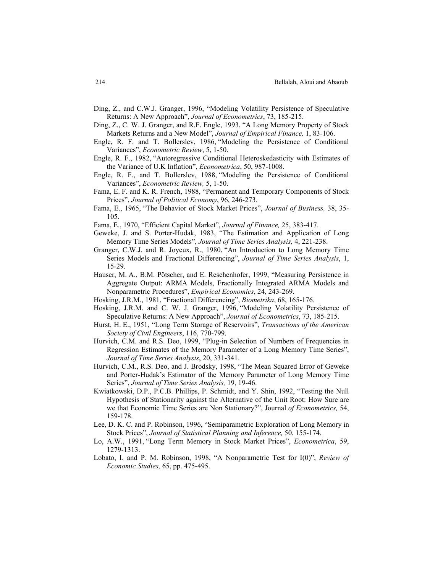- Ding, Z., and C.W.J. Granger, 1996, "Modeling Volatility Persistence of Speculative Returns: A New Approach", *Journal of Econometrics*, 73, 185-215.
- Ding, Z., C. W. J. Granger, and R.F. Engle, 1993, "A Long Memory Property of Stock Markets Returns and a New Model", *Journal of Empirical Finance,* 1, 83-106.
- Engle, R. F. and T. Bollerslev, 1986, "Modeling the Persistence of Conditional Variances", *Econometric Review*, 5, 1-50.
- Engle, R. F., 1982, "Autoregressive Conditional Heteroskedasticity with Estimates of the Variance of U.K Inflation", *Econometrica*, 50, 987-1008.
- Engle, R. F., and T. Bollerslev, 1988, "Modeling the Persistence of Conditional Variances", *Econometric Review,* 5, 1-50.
- Fama, E. F. and K. R. French, 1988, "Permanent and Temporary Components of Stock Prices", *Journal of Political Economy*, 96, 246-273.
- Fama, E., 1965, "The Behavior of Stock Market Prices", *Journal of Business,* 38, 35- 105.
- Fama, E., 1970, "Efficient Capital Market", *Journal of Finance,* 25, 383-417.
- Geweke, J. and S. Porter-Hudak, 1983, "The Estimation and Application of Long Memory Time Series Models", *Journal of Time Series Analysis,* 4, 221-238.
- Granger, C.W.J. and R. Joyeux, R., 1980, "An Introduction to Long Memory Time Series Models and Fractional Differencing", *Journal of Time Series Analysis*, 1, 15-29.
- Hauser, M. A., B.M. Pötscher, and E. Reschenhofer, 1999, "Measuring Persistence in Aggregate Output: ARMA Models, Fractionally Integrated ARMA Models and Nonparametric Procedures", *Empirical Economics*, 24, 243-269.
- Hosking, J.R.M., 1981, "Fractional Differencing", *Biometrika*, 68, 165-176.
- Hosking, J.R.M. and C. W. J. Granger, 1996, "Modeling Volatility Persistence of Speculative Returns: A New Approach", *Journal of Econometrics*, 73, 185-215.
- Hurst, H. E., 1951, "Long Term Storage of Reservoirs", *Transactions of the American Society of Civil Engineers*, 116, 770-799.
- Hurvich, C.M. and R.S. Deo, 1999, "Plug-in Selection of Numbers of Frequencies in Regression Estimates of the Memory Parameter of a Long Memory Time Series", *Journal of Time Series Analysis*, 20, 331-341.
- Hurvich, C.M., R.S. Deo, and J. Brodsky, 1998, "The Mean Squared Error of Geweke and Porter-Hudak's Estimator of the Memory Parameter of Long Memory Time Series", *Journal of Time Series Analysis,* 19, 19-46.
- Kwiatkowski, D.P., P.C.B. Phillips, P. Schmidt, and Y. Shin, 1992, "Testing the Null Hypothesis of Stationarity against the Alternative of the Unit Root: How Sure are we that Economic Time Series are Non Stationary?", Journal *of Econometrics,* 54, 159-178.
- Lee, D. K. C. and P. Robinson, 1996, "Semiparametric Exploration of Long Memory in Stock Prices", *Journal of Statistical Planning and Inference,* 50, 155-174.
- Lo, A.W., 1991, "Long Term Memory in Stock Market Prices", *Econometrica*, 59, 1279-1313.
- Lobato, I. and P. M. Robinson, 1998, "A Nonparametric Test for I(0)", *Review of Economic Studies,* 65, pp. 475-495.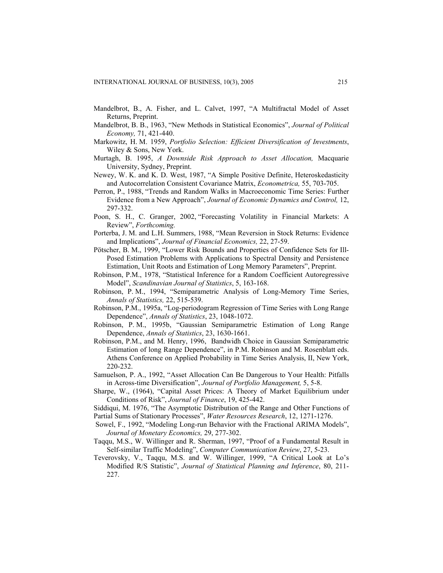- Mandelbrot, B., A. Fisher, and L. Calvet, 1997, "A Multifractal Model of Asset Returns, Preprint.
- Mandelbrot, B. B., 1963, "New Methods in Statistical Economics", *Journal of Political Economy,* 71, 421-440.
- Markowitz, H. M. 1959, *Portfolio Selection: Efficient Diversification of Investments*, Wiley & Sons, New York.
- Murtagh, B. 1995, *A Downside Risk Approach to Asset Allocation,* Macquarie University, Sydney, Preprint.
- Newey, W. K. and K. D. West, 1987, "A Simple Positive Definite, Heteroskedasticity and Autocorrelation Consistent Covariance Matrix, *Econometrica,* 55, 703-705.
- Perron, P., 1988, "Trends and Random Walks in Macroeconomic Time Series: Further Evidence from a New Approach", *Journal of Economic Dynamics and Control,* 12, 297-332.
- Poon, S. H., C. Granger, 2002, "Forecasting Volatility in Financial Markets: A Review", *Forthcoming.*
- Porterba, J. M. and L.H. Summers, 1988, "Mean Reversion in Stock Returns: Evidence and Implications", *Journal of Financial Economics,* 22, 27-59.
- Pötscher, B. M., 1999, "Lower Risk Bounds and Properties of Confidence Sets for Ill-Posed Estimation Problems with Applications to Spectral Density and Persistence Estimation, Unit Roots and Estimation of Long Memory Parameters", Preprint.
- Robinson, P.M., 1978, "Statistical Inference for a Random Coefficient Autoregressive Model", *Scandinavian Journal of Statistics*, 5, 163-168.
- Robinson, P. M., 1994, "Semiparametric Analysis of Long-Memory Time Series, *Annals of Statistics,* 22, 515-539.
- Robinson, P.M., 1995a, "Log-periodogram Regression of Time Series with Long Range Dependence", *Annals of Statistics*, 23, 1048-1072.
- Robinson, P. M., 1995b, "Gaussian Semiparametric Estimation of Long Range Dependence, *Annals of Statistics*, 23, 1630-1661.
- Robinson, P.M., and M. Henry, 1996, Bandwidh Choice in Gaussian Semiparametric Estimation of long Range Dependence", in P.M. Robinson and M. Rosenblatt eds. Athens Conference on Applied Probability in Time Series Analysis, II, New York, 220-232.
- Samuelson, P. A., 1992, "Asset Allocation Can Be Dangerous to Your Health: Pitfalls in Across-time Diversification", *Journal of Portfolio Management,* 5, 5-8.
- Sharpe, W., (1964), "Capital Asset Prices: A Theory of Market Equilibrium under Conditions of Risk", *Journal of Finance*, 19, 425-442.
- Siddiqui, M. 1976, "The Asymptotic Distribution of the Range and Other Functions of
- Partial Sums of Stationary Processes", *Water Resources Research*, 12, 1271-1276.
- Sowel, F., 1992, "Modeling Long-run Behavior with the Fractional ARIMA Models", *Journal of Monetary Economics,* 29, 277-302.
- Taqqu, M.S., W. Willinger and R. Sherman, 1997, "Proof of a Fundamental Result in Self-similar Traffic Modeling", *Computer Communication Review*, 27, 5-23.
- Teverovsky, V., Taqqu, M.S. and W. Willinger, 1999, "A Critical Look at Lo's Modified R/S Statistic", *Journal of Statistical Planning and Inference*, 80, 211- 227.